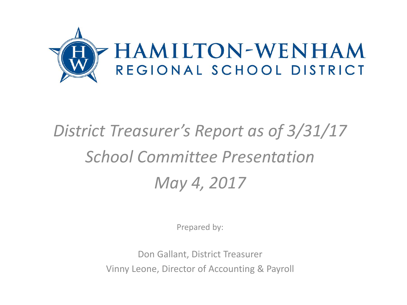

# *District Treasurer's Report as of 3/31/17 School Committee Presentation May 4, 2017*

Prepared by:

Don Gallant, District Treasurer Vinny Leone, Director of Accounting & Payroll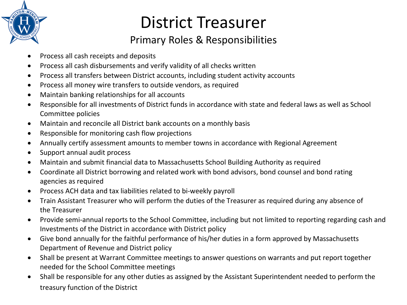

# District Treasurer

#### Primary Roles & Responsibilities

- Process all cash receipts and deposits
- Process all cash disbursements and verify validity of all checks written
- Process all transfers between District accounts, including student activity accounts
- Process all money wire transfers to outside vendors, as required
- Maintain banking relationships for all accounts
- Responsible for all investments of District funds in accordance with state and federal laws as well as School Committee policies
- Maintain and reconcile all District bank accounts on a monthly basis
- Responsible for monitoring cash flow projections
- Annually certify assessment amounts to member towns in accordance with Regional Agreement
- Support annual audit process
- Maintain and submit financial data to Massachusetts School Building Authority as required
- Coordinate all District borrowing and related work with bond advisors, bond counsel and bond rating agencies as required
- Process ACH data and tax liabilities related to bi-weekly payroll
- Train Assistant Treasurer who will perform the duties of the Treasurer as required during any absence of the Treasurer
- Provide semi-annual reports to the School Committee, including but not limited to reporting regarding cash and Investments of the District in accordance with District policy
- Give bond annually for the faithful performance of his/her duties in a form approved by Massachusetts Department of Revenue and District policy
- Shall be present at Warrant Committee meetings to answer questions on warrants and put report together needed for the School Committee meetings
- Shall be responsible for any other duties as assigned by the Assistant Superintendent needed to perform the treasury function of the District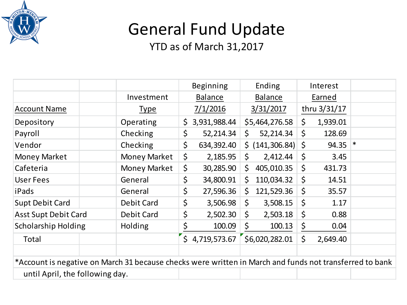

## General Fund Update

|                                                                                                         |                     | <b>Beginning</b>                 | Ending                                   | Interest            |   |
|---------------------------------------------------------------------------------------------------------|---------------------|----------------------------------|------------------------------------------|---------------------|---|
|                                                                                                         | Investment          | <b>Balance</b><br><b>Balance</b> |                                          | Earned              |   |
| <b>Account Name</b>                                                                                     | <u>Type</u>         | 7/1/2016                         | 3/31/2017                                | thru 3/31/17        |   |
| Depository                                                                                              | Operating           | 3,931,988.44<br>$\zeta$          | \$5,464,276.58                           | $\zeta$<br>1,939.01 |   |
| Payroll                                                                                                 | Checking            | \$<br>52,214.34                  | $\mathsf{S}$<br>52,214.34                | $\zeta$<br>128.69   |   |
| Vendor                                                                                                  | Checking            | $\zeta$<br>634,392.40            | $\frac{1}{2}$ (141,306.84) $\frac{1}{2}$ | 94.35               | ∗ |
| <b>Money Market</b>                                                                                     | Money Market        | \$<br>2,185.95                   | \$<br>2,412.44                           | $\zeta$<br>3.45     |   |
| Cafeteria                                                                                               | <b>Money Market</b> | \$<br>30,285.90                  | \$<br>405,010.35                         | \$<br>431.73        |   |
| User Fees                                                                                               | General             | \$<br>34,800.91                  | \$<br>110,034.32                         | $\zeta$<br>14.51    |   |
| iPads                                                                                                   | General             | \$<br>27,596.36                  | 121,529.36<br>\$                         | \$<br>35.57         |   |
| <b>Supt Debit Card</b>                                                                                  | Debit Card          | \$<br>3,506.98                   | \$<br>3,508.15                           | \$<br>1.17          |   |
| <b>Asst Supt Debit Card</b>                                                                             | Debit Card          | \$<br>2,502.30                   | \$<br>2,503.18                           | \$<br>0.88          |   |
| <b>Scholarship Holding</b>                                                                              | <b>Holding</b>      | \$<br>100.09                     | \$<br>100.13                             | \$<br>0.04          |   |
| Total                                                                                                   |                     | \$4,719,573.67                   | \$6,020,282.01                           | \$<br>2,649.40      |   |
|                                                                                                         |                     |                                  |                                          |                     |   |
| *Account is negative on March 31 because checks were written in March and funds not transferred to bank |                     |                                  |                                          |                     |   |
| until April, the following day.                                                                         |                     |                                  |                                          |                     |   |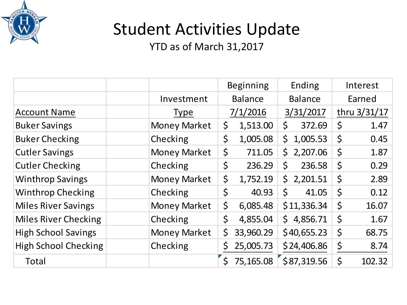

# Student Activities Update

|                             |                     | <b>Beginning</b>   |           | Ending         |             | Interest    |              |
|-----------------------------|---------------------|--------------------|-----------|----------------|-------------|-------------|--------------|
|                             | Investment          | <b>Balance</b>     |           | <b>Balance</b> |             | Earned      |              |
| <b>Account Name</b>         | <b>Type</b>         |                    | 7/1/2016  |                | 3/31/2017   |             | thru 3/31/17 |
| <b>Buker Savings</b>        | <b>Money Market</b> | \$                 | 1,513.00  | \$             | 372.69      | \$          | 1.47         |
| <b>Buker Checking</b>       | Checking            | $\zeta$            | 1,005.08  | \$             | 1,005.53    | $\zeta$     | 0.45         |
| <b>Cutler Savings</b>       | <b>Money Market</b> | $\zeta$            | 711.05    | $\mathsf{S}$   | 2,207.06    | $\varsigma$ | 1.87         |
| <b>Cutler Checking</b>      | Checking            | $\zeta$            | 236.29    | \$             | 236.58      | $\varsigma$ | 0.29         |
| <b>Winthrop Savings</b>     | <b>Money Market</b> | $\zeta$            | 1,752.19  | $\mathsf{S}$   | 2,201.51    | $\varsigma$ | 2.89         |
| <b>Winthrop Checking</b>    | Checking            | $\zeta$            | 40.93     | $\zeta$        | 41.05       | $\varsigma$ | 0.12         |
| <b>Miles River Savings</b>  | <b>Money Market</b> | \$                 | 6,085.48  |                | \$11,336.34 | $\varsigma$ | 16.07        |
| <b>Miles River Checking</b> | Checking            | $\zeta$            | 4,855.04  | $\mathsf{S}$   | 4,856.71    | $\varsigma$ | 1.67         |
| <b>High School Savings</b>  | <b>Money Market</b> | $\zeta$            | 33,960.29 |                | \$40,655.23 | \$          | 68.75        |
| <b>High School Checking</b> | Checking            | \$                 | 25,005.73 |                | \$24,406.86 | \$          | 8.74         |
| <b>Total</b>                |                     | $\mathsf{\dot{S}}$ | 75,165.08 |                | \$87,319.56 | \$          | 102.32       |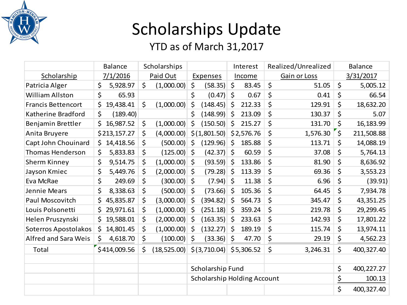

# Scholarships Update

|                           | <b>Balance</b>  | Scholarships |                 | Interest |                                    | Realized/Unrealized |            | <b>Balance</b> |              |         |            |
|---------------------------|-----------------|--------------|-----------------|----------|------------------------------------|---------------------|------------|----------------|--------------|---------|------------|
| Scholarship               | 7/1/2016        |              | Paid Out        |          | <b>Expenses</b>                    |                     | Income     |                | Gain or Loss |         | 3/31/2017  |
| Patricia Alger            | \$<br>5,928.97  | $\zeta$      | (1,000.00)      | \$       | (58.35)                            | $\zeta$             | 83.45      | \$             | 51.05        | $\zeta$ | 5,005.12   |
| <b>William Allston</b>    | \$<br>65.93     |              |                 | \$       | (0.47)                             | $\zeta$             | 0.67       | \$             | 0.41         | \$      | 66.54      |
| <b>Francis Bettencort</b> | \$<br>19,438.41 | $\zeta$      | (1,000.00)      | $\zeta$  | (148.45)                           | Ŝ.                  | 212.33     | \$             | 129.91       | \$      | 18,632.20  |
| Katherine Bradford        | \$<br>(189.40)  |              |                 | \$       | (148.99)                           | \$                  | 213.09     | \$             | 130.37       | \$      | 5.07       |
| Benjamin Brettler         | Ś<br>16,987.52  | \$           | (1,000.00)      | $\zeta$  | (150.50)                           | $\zeta$             | 215.27     | \$             | 131.70       | \$      | 16,183.99  |
| Anita Bruyere             | \$213,157.27    | \$           | (4,000.00)      |          | \$(1,801.50)                       |                     | \$2,576.76 | \$             | 1,576.30     | $\zeta$ | 211,508.88 |
| Capt John Chouinard       | \$<br>14,418.56 | \$           | $(500.00)$ \$   |          | (129.96)                           | Ŝ.                  | 185.88     | \$             | 113.71       | \$      | 14,088.19  |
| <b>Thomas Henderson</b>   | Ś<br>5,833.83   | \$           | $(125.00)$ \$   |          | (42.37)                            | \$                  | 60.59      | \$             | 37.08        | \$      | 5,764.13   |
| Sherm Kinney              | \$<br>9,514.75  | \$           | $(1,000.00)$ \$ |          | (93.59)                            | \$                  | 133.86     | \$             | 81.90        | $\zeta$ | 8,636.92   |
| Jayson Kmiec              | \$<br>5,449.76  | \$           | $(2,000.00)$ \$ |          | (79.28)                            | \$                  | 113.39     | \$             | 69.36        | $\zeta$ | 3,553.23   |
| Eva McRae                 | \$<br>249.69    | \$           | $(300.00)$ \$   |          | (7.94)                             | \$                  | 11.38      | \$             | 6.96         | \$      | (39.91)    |
| Jennie Mears              | \$<br>8,338.63  | \$           | $(500.00)$ \$   |          | (73.66)                            | \$                  | 105.36     | \$             | 64.45        | \$      | 7,934.78   |
| Paul Moscovitch           | \$<br>45,835.87 | \$           | (3,000.00)      | S.       | (394.82)                           | \$                  | 564.73     | \$             | 345.47       | \$      | 43,351.25  |
| Louis Polsonetti          | \$<br>29,971.61 | \$           | $(1,000.00)$ \$ |          | (251.18)                           | \$                  | 359.24     | \$             | 219.78       | \$      | 29,299.45  |
| Helen Pruszynski          | \$<br>19,588.01 | \$           | $(2,000.00)$ \$ |          | (163.35)                           | \$                  | 233.63     | \$             | 142.93       | \$      | 17,801.22  |
| Soterros Apostolakos      | \$<br>14,801.45 | \$           | (1,000.00)      | $\zeta$  | (132.27)                           | \$                  | 189.19     | \$             | 115.74       | \$      | 13,974.11  |
| Alfred and Sara Weis      | \$<br>4,618.70  | \$           | (100.00)        | $\zeta$  | (33.36)                            | \$                  | 47.70      | \$             | 29.19        | \$      | 4,562.23   |
| Total                     | \$414,009.56    | \$           | (18, 525.00)    |          | \$ (3,710.04)                      |                     | \$5,306.52 | \$             | 3,246.31     | \$      | 400,327.40 |
|                           |                 |              |                 |          |                                    |                     |            |                |              |         |            |
|                           |                 |              |                 |          | Scholarship Fund                   |                     |            |                |              | \$      | 400,227.27 |
|                           |                 |              |                 |          | <b>Scholarship Holding Account</b> |                     |            |                |              | \$      | 100.13     |
|                           |                 |              |                 |          |                                    |                     |            |                |              | \$      | 400,327.40 |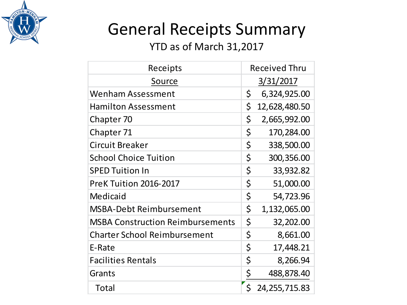

#### General Receipts Summary

| Receipts                                | <b>Received Thru</b> |                 |  |  |  |
|-----------------------------------------|----------------------|-----------------|--|--|--|
| Source                                  |                      | 3/31/2017       |  |  |  |
| <b>Wenham Assessment</b>                | \$                   | 6,324,925.00    |  |  |  |
| <b>Hamilton Assessment</b>              | \$                   | 12,628,480.50   |  |  |  |
| Chapter 70                              | \$                   | 2,665,992.00    |  |  |  |
| Chapter 71                              | \$                   | 170,284.00      |  |  |  |
| <b>Circuit Breaker</b>                  | \$                   | 338,500.00      |  |  |  |
| <b>School Choice Tuition</b>            | \$                   | 300,356.00      |  |  |  |
| <b>SPED Tuition In</b>                  | \$                   | 33,932.82       |  |  |  |
| PreK Tuition 2016-2017                  | \$                   | 51,000.00       |  |  |  |
| Medicaid                                | \$                   | 54,723.96       |  |  |  |
| <b>MSBA-Debt Reimbursement</b>          | \$                   | 1,132,065.00    |  |  |  |
| <b>MSBA Construction Reimbursements</b> | \$                   | 32,202.00       |  |  |  |
| <b>Charter School Reimbursement</b>     | \$                   | 8,661.00        |  |  |  |
| E-Rate                                  | \$                   | 17,448.21       |  |  |  |
| <b>Facilities Rentals</b>               | \$                   | 8,266.94        |  |  |  |
| Grants                                  | <u>\$</u>            | 488,878.40      |  |  |  |
| Total                                   | \$                   | 24, 255, 715.83 |  |  |  |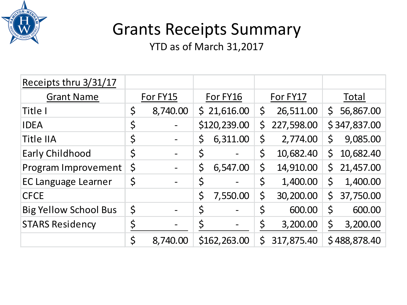

#### Grants Receipts Summary

| Receipts thru 3/31/17        |             |          |             |              |         |            |              |              |  |
|------------------------------|-------------|----------|-------------|--------------|---------|------------|--------------|--------------|--|
| <b>Grant Name</b>            | For FY15    |          | For FY16    |              |         | For FY17   | Total        |              |  |
| Title I                      | \$          | 8,740.00 |             | \$21,616.00  | $\zeta$ | 26,511.00  | $\mathsf{S}$ | 56,867.00    |  |
| <b>IDEA</b>                  | \$          |          |             | \$120,239.00 | \$      | 227,598.00 |              | \$347,837.00 |  |
| <b>Title IIA</b>             | \$          |          | \$          | 6,311.00     | \$      | 2,774.00   | $\zeta$      | 9,085.00     |  |
| <b>Early Childhood</b>       | \$          |          | \$          |              | \$      | 10,682.40  | $\zeta$      | 10,682.40    |  |
| Program Improvement          | $\varsigma$ |          | \$          | 6,547.00     | \$      | 14,910.00  | $\mathsf{S}$ | 21,457.00    |  |
| <b>EC Language Learner</b>   | \$          |          | $\varsigma$ |              | \$      | 1,400.00   | $\mathsf{S}$ | 1,400.00     |  |
| <b>CFCE</b>                  |             |          | \$          | 7,550.00     | \$      | 30,200.00  | $\zeta$      | 37,750.00    |  |
| <b>Big Yellow School Bus</b> | \$          |          | $\varsigma$ |              | \$      | 600.00     | $\mathsf{S}$ | 600.00       |  |
| <b>STARS Residency</b>       | \$          |          | \$          |              | \$      | 3,200.00   | \$           | 3,200.00     |  |
|                              | \$          | 8,740.00 |             | \$162,263.00 | \$      | 317,875.40 |              | \$488,878.40 |  |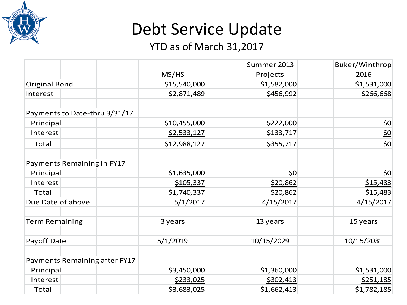

# Debt Service Update

|                               |              | Summer 2013 | Buker/Winthrop |
|-------------------------------|--------------|-------------|----------------|
|                               | MS/HS        | Projects    | 2016           |
| <b>Original Bond</b>          | \$15,540,000 | \$1,582,000 | \$1,531,000    |
| Interest                      | \$2,871,489  | \$456,992   | \$266,668      |
| Payments to Date-thru 3/31/17 |              |             |                |
| Principal                     | \$10,455,000 | \$222,000   | 50             |
| Interest                      | \$2,533,127  | \$133,717   | 50             |
| Total                         | \$12,988,127 | \$355,717   | \$0            |
| Payments Remaining in FY17    |              |             |                |
| Principal                     | \$1,635,000  | \$0         | \$0            |
| Interest                      | \$105,337    | \$20,862    | \$15,483       |
| Total                         | \$1,740,337  | \$20,862    | \$15,483       |
| Due Date of above             | 5/1/2017     | 4/15/2017   | 4/15/2017      |
| <b>Term Remaining</b>         | 3 years      | 13 years    | 15 years       |
| Payoff Date                   | 5/1/2019     | 10/15/2029  | 10/15/2031     |
| Payments Remaining after FY17 |              |             |                |
| Principal                     | \$3,450,000  | \$1,360,000 | \$1,531,000    |
| Interest                      | \$233,025    | \$302,413   | \$251,185      |
| Total                         | \$3,683,025  | \$1,662,413 | \$1,782,185    |